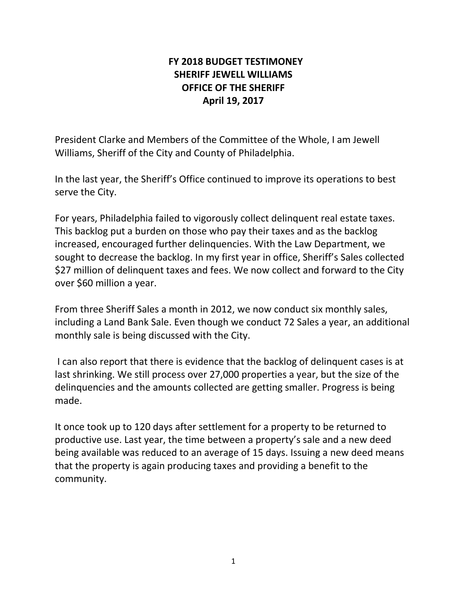## **FY 2018 BUDGET TESTIMONEY SHERIFF JEWELL WILLIAMS OFFICE OF THE SHERIFF April 19, 2017**

President Clarke and Members of the Committee of the Whole, I am Jewell Williams, Sheriff of the City and County of Philadelphia.

In the last year, the Sheriff's Office continued to improve its operations to best serve the City.

For years, Philadelphia failed to vigorously collect delinquent real estate taxes. This backlog put a burden on those who pay their taxes and as the backlog increased, encouraged further delinquencies. With the Law Department, we sought to decrease the backlog. In my first year in office, Sheriff's Sales collected \$27 million of delinquent taxes and fees. We now collect and forward to the City over \$60 million a year.

From three Sheriff Sales a month in 2012, we now conduct six monthly sales, including a Land Bank Sale. Even though we conduct 72 Sales a year, an additional monthly sale is being discussed with the City.

 I can also report that there is evidence that the backlog of delinquent cases is at last shrinking. We still process over 27,000 properties a year, but the size of the delinquencies and the amounts collected are getting smaller. Progress is being made.

It once took up to 120 days after settlement for a property to be returned to productive use. Last year, the time between a property's sale and a new deed being available was reduced to an average of 15 days. Issuing a new deed means that the property is again producing taxes and providing a benefit to the community.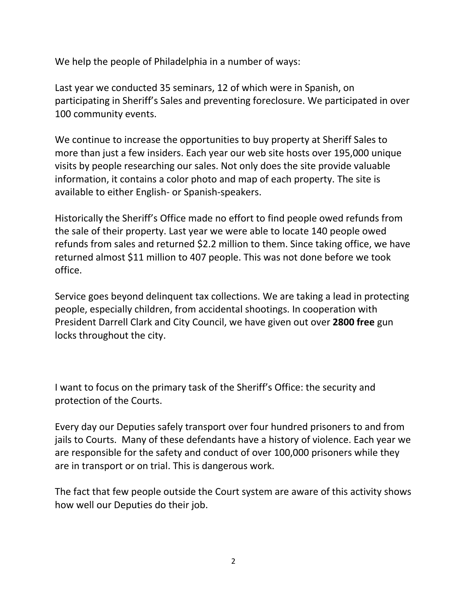We help the people of Philadelphia in a number of ways:

Last year we conducted 35 seminars, 12 of which were in Spanish, on participating in Sheriff's Sales and preventing foreclosure. We participated in over 100 community events.

We continue to increase the opportunities to buy property at Sheriff Sales to more than just a few insiders. Each year our web site hosts over 195,000 unique visits by people researching our sales. Not only does the site provide valuable information, it contains a color photo and map of each property. The site is available to either English- or Spanish-speakers.

Historically the Sheriff's Office made no effort to find people owed refunds from the sale of their property. Last year we were able to locate 140 people owed refunds from sales and returned \$2.2 million to them. Since taking office, we have returned almost \$11 million to 407 people. This was not done before we took office.

Service goes beyond delinquent tax collections. We are taking a lead in protecting people, especially children, from accidental shootings. In cooperation with President Darrell Clark and City Council, we have given out over **2800 free** gun locks throughout the city.

I want to focus on the primary task of the Sheriff's Office: the security and protection of the Courts.

Every day our Deputies safely transport over four hundred prisoners to and from jails to Courts. Many of these defendants have a history of violence. Each year we are responsible for the safety and conduct of over 100,000 prisoners while they are in transport or on trial. This is dangerous work.

The fact that few people outside the Court system are aware of this activity shows how well our Deputies do their job.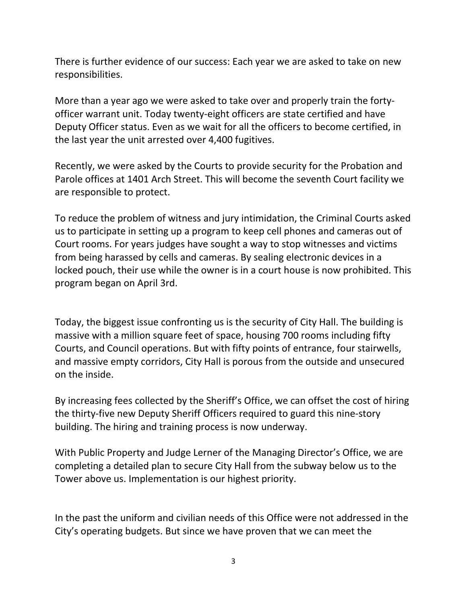There is further evidence of our success: Each year we are asked to take on new responsibilities.

More than a year ago we were asked to take over and properly train the fortyofficer warrant unit. Today twenty-eight officers are state certified and have Deputy Officer status. Even as we wait for all the officers to become certified, in the last year the unit arrested over 4,400 fugitives.

Recently, we were asked by the Courts to provide security for the Probation and Parole offices at 1401 Arch Street. This will become the seventh Court facility we are responsible to protect.

To reduce the problem of witness and jury intimidation, the Criminal Courts asked us to participate in setting up a program to keep cell phones and cameras out of Court rooms. For years judges have sought a way to stop witnesses and victims from being harassed by cells and cameras. By sealing electronic devices in a locked pouch, their use while the owner is in a court house is now prohibited. This program began on April 3rd.

Today, the biggest issue confronting us is the security of City Hall. The building is massive with a million square feet of space, housing 700 rooms including fifty Courts, and Council operations. But with fifty points of entrance, four stairwells, and massive empty corridors, City Hall is porous from the outside and unsecured on the inside.

By increasing fees collected by the Sheriff's Office, we can offset the cost of hiring the thirty-five new Deputy Sheriff Officers required to guard this nine-story building. The hiring and training process is now underway.

With Public Property and Judge Lerner of the Managing Director's Office, we are completing a detailed plan to secure City Hall from the subway below us to the Tower above us. Implementation is our highest priority.

In the past the uniform and civilian needs of this Office were not addressed in the City's operating budgets. But since we have proven that we can meet the